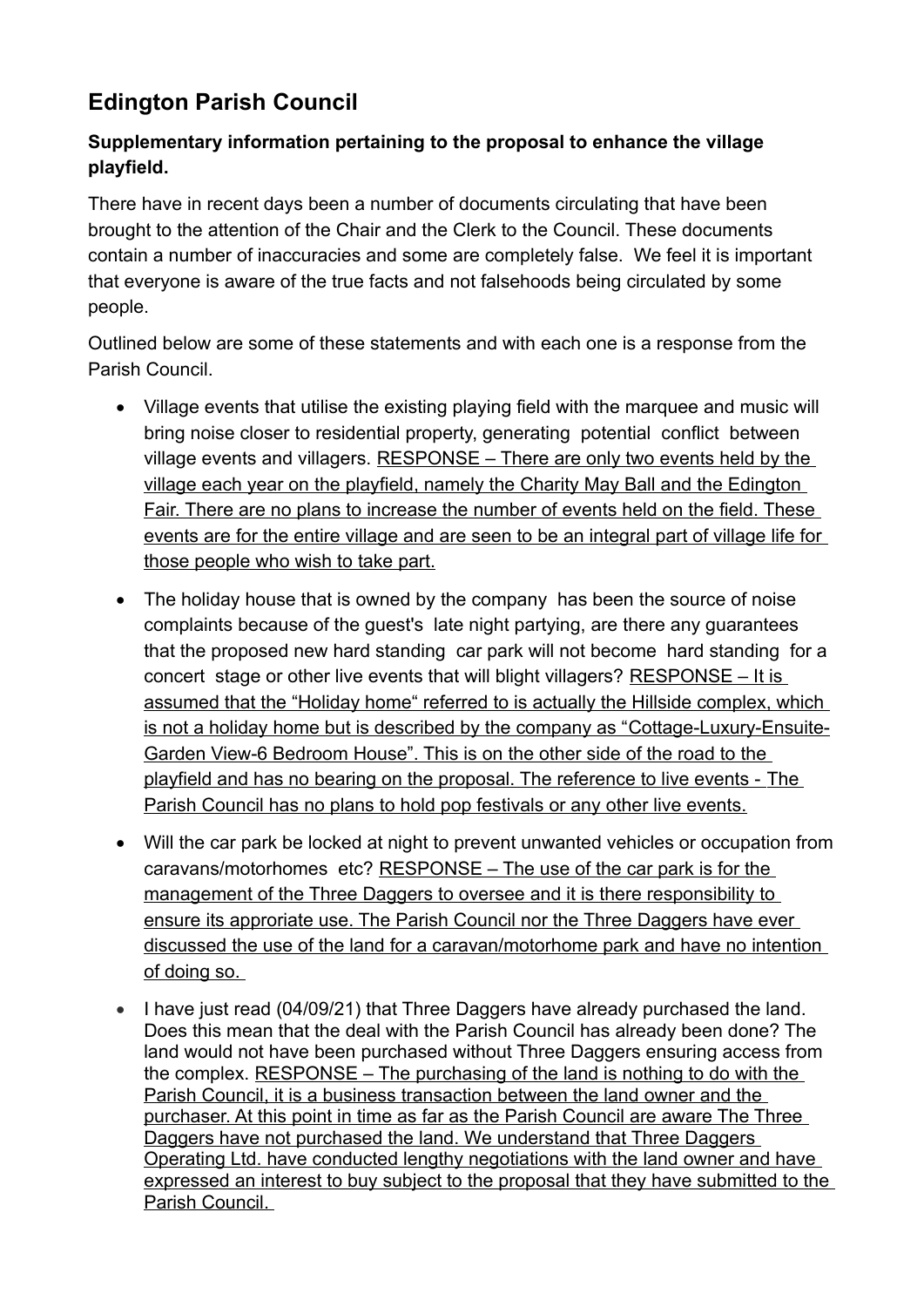## **Edington Parish Council**

## **Supplementary information pertaining to the proposal to enhance the village playfield.**

There have in recent days been a number of documents circulating that have been brought to the attention of the Chair and the Clerk to the Council. These documents contain a number of inaccuracies and some are completely false. We feel it is important that everyone is aware of the true facts and not falsehoods being circulated by some people.

Outlined below are some of these statements and with each one is a response from the Parish Council.

- Village events that utilise the existing playing field with the marquee and music will bring noise closer to residential property, generating potential conflict between village events and villagers. RESPONSE – There are only two events held by the village each year on the playfield, namely the Charity May Ball and the Edington Fair. There are no plans to increase the number of events held on the field. These events are for the entire village and are seen to be an integral part of village life for those people who wish to take part.
- The holiday house that is owned by the company has been the source of noise complaints because of the guest's late night partying, are there any guarantees that the proposed new hard standing car park will not become hard standing for a concert stage or other live events that will blight villagers? RESPONSE – It is assumed that the "Holiday home" referred to is actually the Hillside complex, which is not a holiday home but is described by the company as "Cottage-Luxury-Ensuite-Garden View-6 Bedroom House". This is on the other side of the road to the playfield and has no bearing on the proposal. The reference to live events - The Parish Council has no plans to hold pop festivals or any other live events.
- Will the car park be locked at night to prevent unwanted vehicles or occupation from caravans/motorhomes etc? RESPONSE – The use of the car park is for the management of the Three Daggers to oversee and it is there responsibility to ensure its approriate use. The Parish Council nor the Three Daggers have ever discussed the use of the land for a caravan/motorhome park and have no intention of doing so.
- I have just read (04/09/21) that Three Daggers have already purchased the land. Does this mean that the deal with the Parish Council has already been done? The land would not have been purchased without Three Daggers ensuring access from the complex. RESPONSE – The purchasing of the land is nothing to do with the Parish Council, it is a business transaction between the land owner and the purchaser. At this point in time as far as the Parish Council are aware The Three Daggers have not purchased the land. We understand that Three Daggers Operating Ltd. have conducted lengthy negotiations with the land owner and have expressed an interest to buy subject to the proposal that they have submitted to the Parish Council.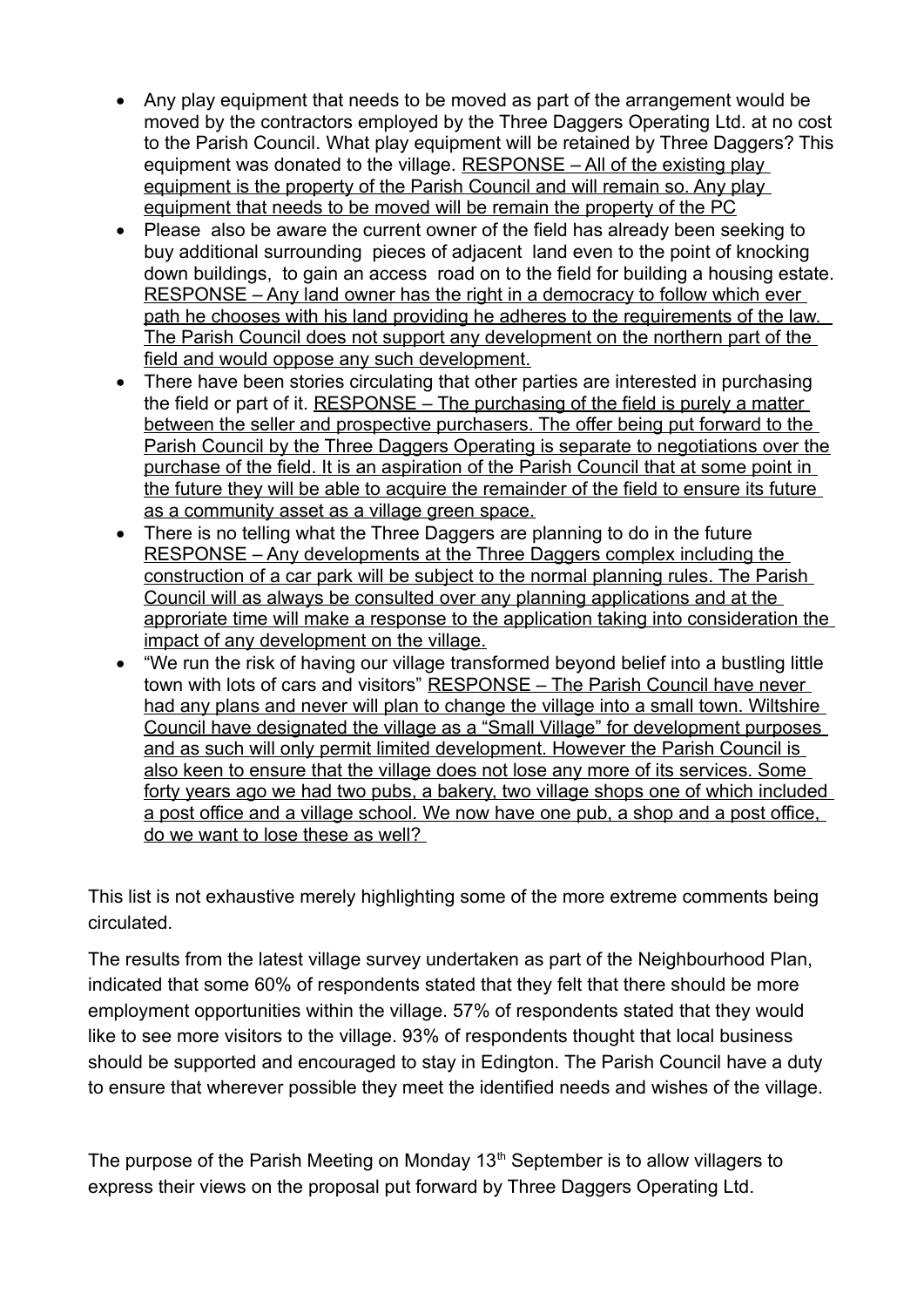- Any play equipment that needs to be moved as part of the arrangement would be moved by the contractors employed by the Three Daggers Operating Ltd. at no cost to the Parish Council. What play equipment will be retained by Three Daggers? This equipment was donated to the village. RESPONSE – All of the existing play equipment is the property of the Parish Council and will remain so. Any play equipment that needs to be moved will be remain the property of the PC
- Please also be aware the current owner of the field has already been seeking to buy additional surrounding pieces of adjacent land even to the point of knocking down buildings, to gain an access road on to the field for building a housing estate. RESPONSE – Any land owner has the right in a democracy to follow which ever path he chooses with his land providing he adheres to the requirements of the law. The Parish Council does not support any development on the northern part of the field and would oppose any such development.
- There have been stories circulating that other parties are interested in purchasing the field or part of it. RESPONSE – The purchasing of the field is purely a matter between the seller and prospective purchasers. The offer being put forward to the Parish Council by the Three Daggers Operating is separate to negotiations over the purchase of the field. It is an aspiration of the Parish Council that at some point in the future they will be able to acquire the remainder of the field to ensure its future as a community asset as a village green space.
- There is no telling what the Three Daggers are planning to do in the future RESPONSE – Any developments at the Three Daggers complex including the construction of a car park will be subject to the normal planning rules. The Parish Council will as always be consulted over any planning applications and at the approriate time will make a response to the application taking into consideration the impact of any development on the village.
- "We run the risk of having our village transformed beyond belief into a bustling little town with lots of cars and visitors" RESPONSE - The Parish Council have never had any plans and never will plan to change the village into a small town. Wiltshire Council have designated the village as a "Small Village" for development purposes and as such will only permit limited development. However the Parish Council is also keen to ensure that the village does not lose any more of its services. Some forty years ago we had two pubs, a bakery, two village shops one of which included a post office and a village school. We now have one pub, a shop and a post office, do we want to lose these as well?

This list is not exhaustive merely highlighting some of the more extreme comments being circulated.

The results from the latest village survey undertaken as part of the Neighbourhood Plan, indicated that some 60% of respondents stated that they felt that there should be more employment opportunities within the village. 57% of respondents stated that they would like to see more visitors to the village. 93% of respondents thought that local business should be supported and encouraged to stay in Edington. The Parish Council have a duty to ensure that wherever possible they meet the identified needs and wishes of the village.

The purpose of the Parish Meeting on Monday  $13<sup>th</sup>$  September is to allow villagers to express their views on the proposal put forward by Three Daggers Operating Ltd.